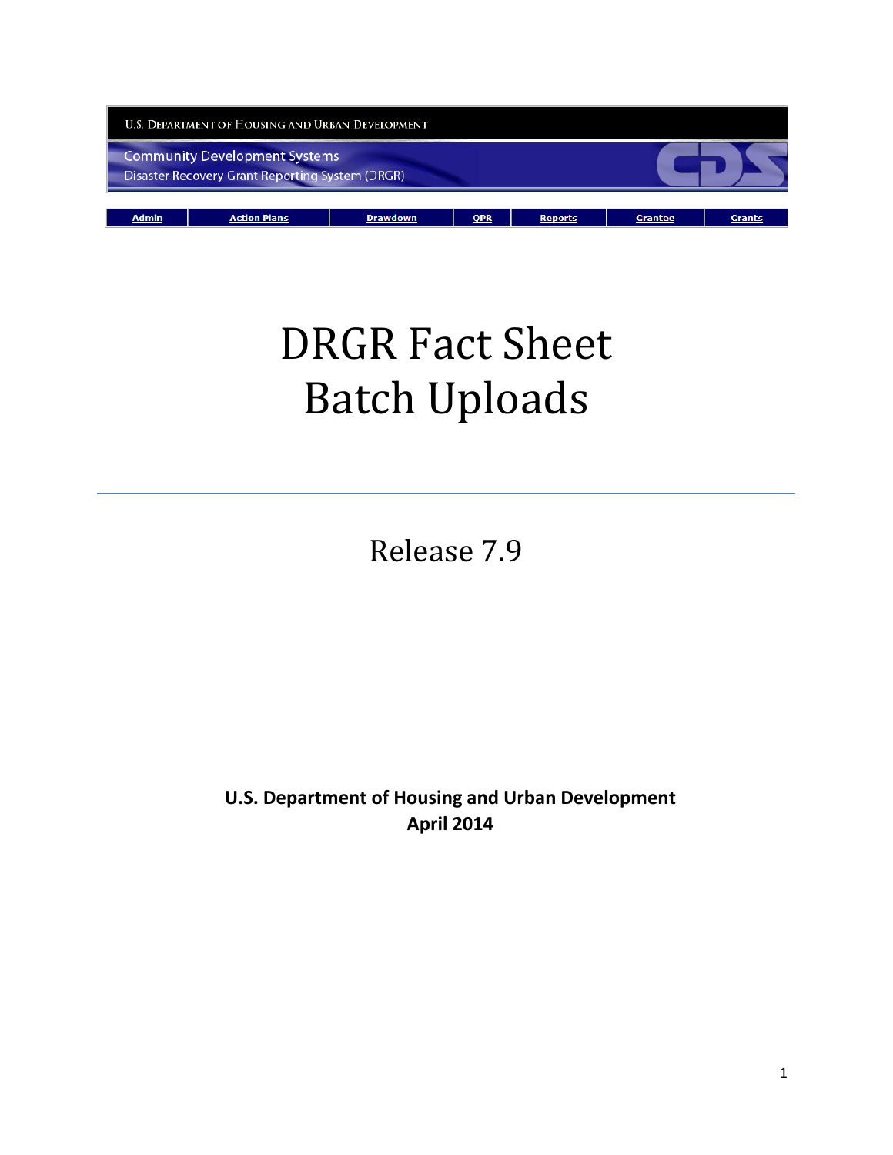

# DRGR Fact Sheet Batch Uploads

Release 7.9

**U.S. Department of Housing and Urban Development April 2014**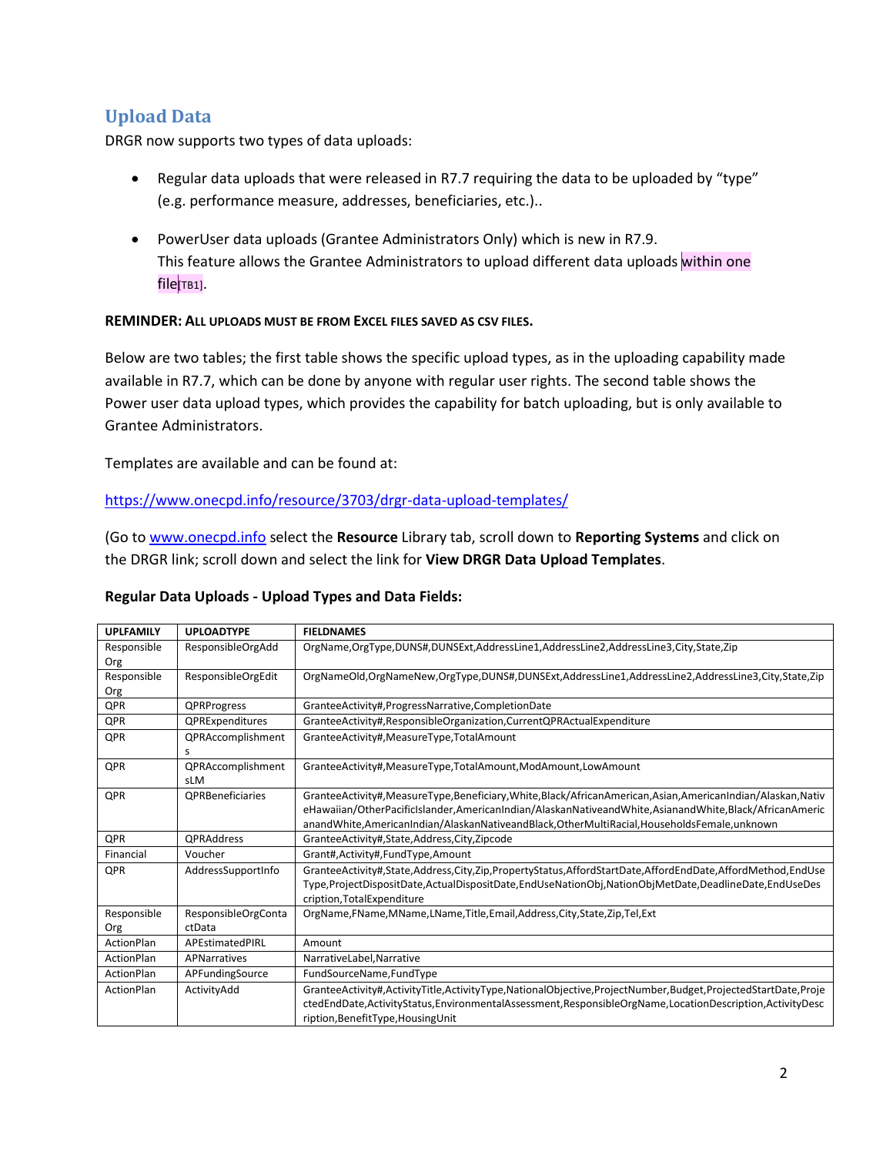## **Upload Data**

DRGR now supports two types of data uploads:

- Regular data uploads that were released in R7.7 requiring the data to be uploaded by "type" (e.g. performance measure, addresses, beneficiaries, etc.)..
- PowerUser data uploads (Grantee Administrators Only) which is new in R7.9. This feature allows the Grantee Administrators to upload different data uploads within one file[TB1].

#### **REMINDER: ALL UPLOADS MUST BE FROM EXCEL FILES SAVED AS CSV FILES.**

Below are two tables; the first table shows the specific upload types, as in the uploading capability made available in R7.7, which can be done by anyone with regular user rights. The second table shows the Power user data upload types, which provides the capability for batch uploading, but is only available to Grantee Administrators.

Templates are available and can be found at:

#### <https://www.onecpd.info/resource/3703/drgr-data-upload-templates/>

(Go t[o www.onecpd.info](http://www.onecpd.info/) select the **Resource** Library tab, scroll down to **Reporting Systems** and click on the DRGR link; scroll down and select the link for **View DRGR Data Upload Templates**.

#### **Regular Data Uploads - Upload Types and Data Fields:**

| <b>UPLFAMILY</b> | <b>UPLOADTYPE</b>       | <b>FIELDNAMES</b>                                                                                           |
|------------------|-------------------------|-------------------------------------------------------------------------------------------------------------|
| Responsible      | ResponsibleOrgAdd       | OrgName,OrgType,DUNS#,DUNSExt,AddressLine1,AddressLine2,AddressLine3,City,State,Zip                         |
| Org              |                         |                                                                                                             |
| Responsible      | ResponsibleOrgEdit      | OrgNameOld,OrgNameNew,OrgType,DUNS#,DUNSExt,AddressLine1,AddressLine2,AddressLine3,City,State,Zip           |
| Org              |                         |                                                                                                             |
| <b>QPR</b>       | QPRProgress             | GranteeActivity#, ProgressNarrative, CompletionDate                                                         |
| QPR              | QPRExpenditures         | GranteeActivity#, ResponsibleOrganization, CurrentQPRActualExpenditure                                      |
| QPR              | QPRAccomplishment       | GranteeActivity#,MeasureType,TotalAmount                                                                    |
|                  | s                       |                                                                                                             |
| QPR              | QPRAccomplishment       | GranteeActivity#,MeasureType,TotalAmount,ModAmount,LowAmount                                                |
|                  | sLM                     |                                                                                                             |
| QPR              | <b>QPRBeneficiaries</b> | GranteeActivity#,MeasureType,Beneficiary,White,Black/AfricanAmerican,Asian,AmericanIndian/Alaskan,Nativ     |
|                  |                         | eHawaiian/OtherPacificIslander, AmericanIndian/AlaskanNativeandWhite, AsianandWhite, Black/AfricanAmeric    |
|                  |                         | anandWhite, AmericanIndian/AlaskanNativeandBlack, OtherMultiRacial, HouseholdsFemale, unknown               |
| <b>QPR</b>       | <b>QPRAddress</b>       | GranteeActivity#,State,Address,City,Zipcode                                                                 |
| Financial        | Voucher                 | Grant#, Activity#, Fund Type, Amount                                                                        |
| QPR              | AddressSupportInfo      | GranteeActivity#,State,Address,City,Zip,PropertyStatus,AffordStartDate,AffordEndDate,AffordMethod,EndUse    |
|                  |                         | Type, ProjectDispositDate, ActualDispositDate, EndUseNationObj, NationObjMetDate, DeadlineDate, EndUseDes   |
|                  |                         | cription, Total Expenditure                                                                                 |
| Responsible      | ResponsibleOrgConta     | OrgName,FName,MName,LName,Title,Email,Address,City,State,Zip,Tel,Ext                                        |
| Org              | ctData                  |                                                                                                             |
| ActionPlan       | APEstimatedPIRL         | Amount                                                                                                      |
| ActionPlan       | APNarratives            | NarrativeLabel, Narrative                                                                                   |
| ActionPlan       | APFundingSource         | FundSourceName,FundType                                                                                     |
| ActionPlan       | ActivityAdd             | GranteeActivity#,ActivityTitle,ActivityType,NationalObjective,ProjectNumber,Budget,ProjectedStartDate,Proje |
|                  |                         | ctedEndDate,ActivityStatus,EnvironmentalAssessment,ResponsibleOrgName,LocationDescription,ActivityDesc      |
|                  |                         | ription, BenefitType, Housing Unit                                                                          |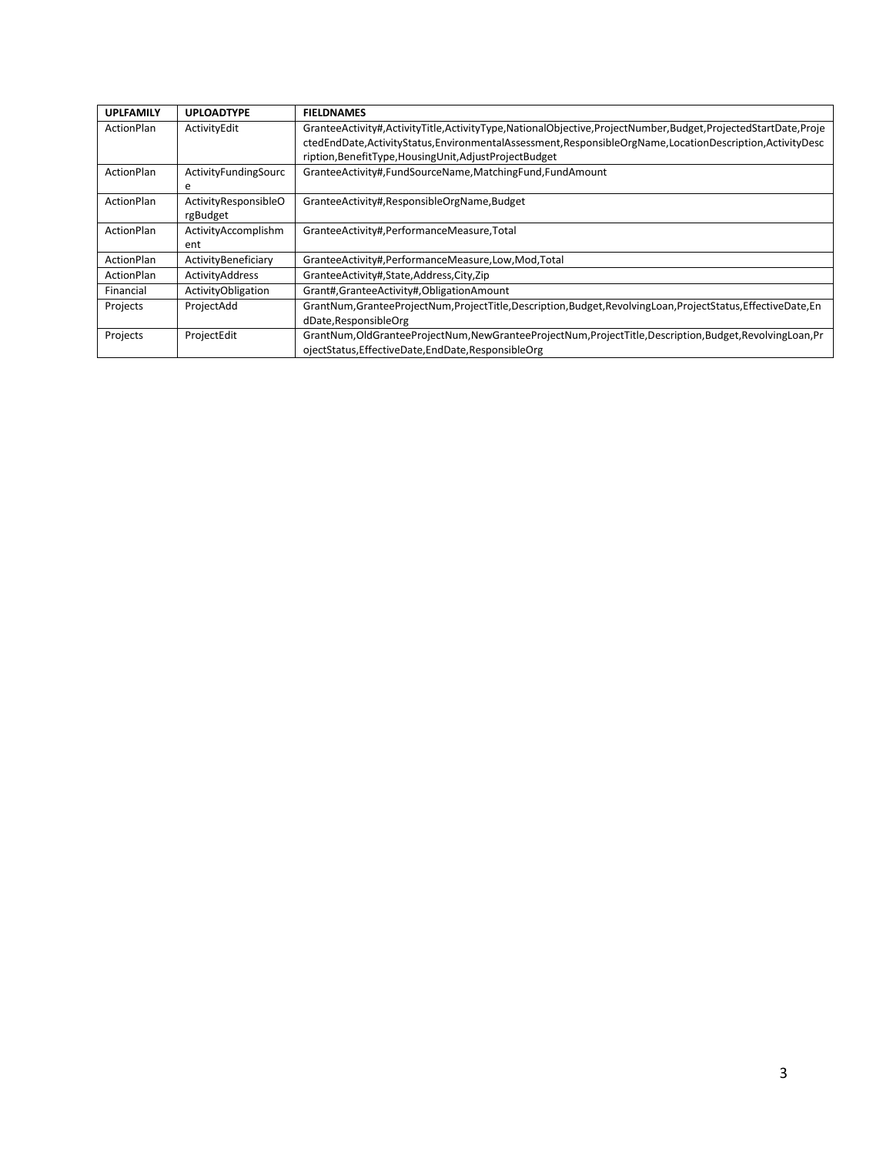| <b>UPLFAMILY</b> | <b>UPLOADTYPE</b>    | <b>FIELDNAMES</b>                                                                                               |
|------------------|----------------------|-----------------------------------------------------------------------------------------------------------------|
| ActionPlan       | ActivityEdit         | GranteeActivity#,ActivityTitle,ActivityType,NationalObjective,ProjectNumber,Budget,ProjectedStartDate,Proje     |
|                  |                      | ctedEndDate,ActivityStatus,EnvironmentalAssessment,ResponsibleOrgName,LocationDescription,ActivityDesc          |
|                  |                      | ription, BenefitType, Housing Unit, Adjust Project Budget                                                       |
| ActionPlan       | ActivityFundingSourc | GranteeActivity#,FundSourceName,MatchingFund,FundAmount                                                         |
|                  | e                    |                                                                                                                 |
| ActionPlan       | ActivityResponsibleO | GranteeActivity#, ResponsibleOrgName, Budget                                                                    |
|                  | rgBudget             |                                                                                                                 |
| ActionPlan       | ActivityAccomplishm  | GranteeActivity#,PerformanceMeasure,Total                                                                       |
|                  | ent                  |                                                                                                                 |
| ActionPlan       | ActivityBeneficiary  | GranteeActivity#,PerformanceMeasure,Low,Mod,Total                                                               |
| ActionPlan       | ActivityAddress      | GranteeActivity#,State,Address,City,Zip                                                                         |
| Financial        | ActivityObligation   | Grant#,GranteeActivity#,ObligationAmount                                                                        |
| Projects         | ProjectAdd           | GrantNum, GranteeProjectNum, ProjectTitle, Description, Budget, RevolvingLoan, ProjectStatus, EffectiveDate, En |
|                  |                      | dDate, ResponsibleOrg                                                                                           |
| Projects         | ProjectEdit          | GrantNum, OldGranteeProjectNum, New GranteeProjectNum, ProjectTitle, Description, Budget, Revolving Loan, Pr    |
|                  |                      | ojectStatus, EffectiveDate, EndDate, ResponsibleOrg                                                             |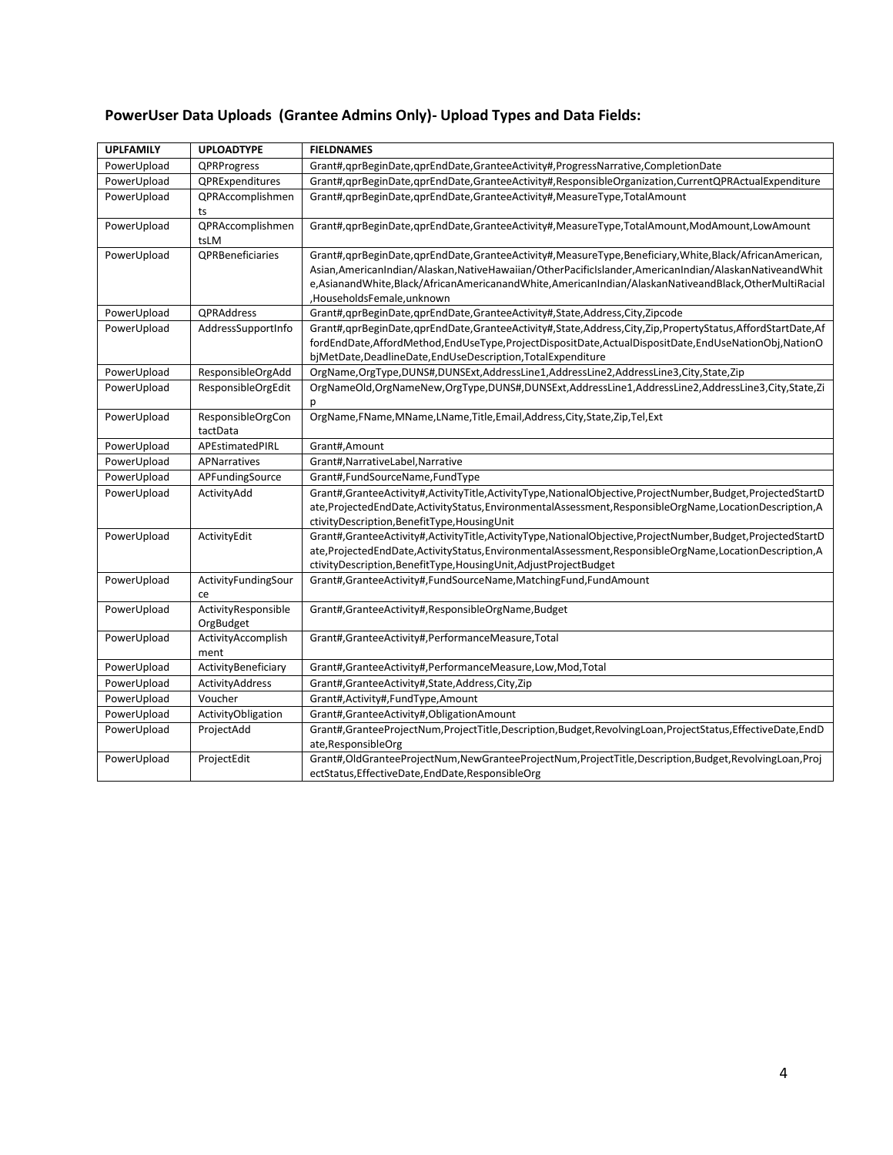## **PowerUser Data Uploads (Grantee Admins Only)- Upload Types and Data Fields:**

| <b>UPLFAMILY</b> | <b>UPLOADTYPE</b>                | <b>FIELDNAMES</b>                                                                                                                                                                                                                                                                                                                                   |
|------------------|----------------------------------|-----------------------------------------------------------------------------------------------------------------------------------------------------------------------------------------------------------------------------------------------------------------------------------------------------------------------------------------------------|
| PowerUpload      | QPRProgress                      | Grant#,qprBeginDate,qprEndDate,GranteeActivity#,ProgressNarrative,CompletionDate                                                                                                                                                                                                                                                                    |
| PowerUpload      | QPRExpenditures                  | Grant#,qprBeginDate,qprEndDate,GranteeActivity#,ResponsibleOrganization,CurrentQPRActualExpenditure                                                                                                                                                                                                                                                 |
| PowerUpload      | QPRAccomplishmen<br>ts           | Grant#, qprBeginDate, qprEndDate, GranteeActivity#, MeasureType, TotalAmount                                                                                                                                                                                                                                                                        |
| PowerUpload      | QPRAccomplishmen<br>tsLM         | Grant#,qprBeginDate,qprEndDate,GranteeActivity#,MeasureType,TotalAmount,ModAmount,LowAmount                                                                                                                                                                                                                                                         |
| PowerUpload      | QPRBeneficiaries                 | Grant#,qprBeginDate,qprEndDate,GranteeActivity#,MeasureType,Beneficiary,White,Black/AfricanAmerican,<br>Asian, AmericanIndian/Alaskan, NativeHawaiian/OtherPacificIslander, AmericanIndian/AlaskanNativeandWhit<br>e,AsianandWhite,Black/AfricanAmericanandWhite,AmericanIndian/AlaskanNativeandBlack,OtherMultiRacial<br>,HouseholdsFemale,unknown |
| PowerUpload      | QPRAddress                       | Grant#, qprBeginDate, qprEndDate, GranteeActivity#, State, Address, City, Zipcode                                                                                                                                                                                                                                                                   |
| PowerUpload      | AddressSupportInfo               | Grant#,qprBeginDate,qprEndDate,GranteeActivity#,State,Address,City,Zip,PropertyStatus,AffordStartDate,Af<br>fordEndDate,AffordMethod,EndUseType,ProjectDispositDate,ActualDispositDate,EndUseNationObj,NationO<br>bjMetDate,DeadlineDate,EndUseDescription,TotalExpenditure                                                                         |
| PowerUpload      | ResponsibleOrgAdd                | OrgName,OrgType,DUNS#,DUNSExt,AddressLine1,AddressLine2,AddressLine3,City,State,Zip                                                                                                                                                                                                                                                                 |
| PowerUpload      | ResponsibleOrgEdit               | OrgNameOld,OrgNameNew,OrgType,DUNS#,DUNSExt,AddressLine1,AddressLine2,AddressLine3,City,State,Zi                                                                                                                                                                                                                                                    |
| PowerUpload      | ResponsibleOrgCon<br>tactData    | OrgName,FName,MName,LName,Title,Email,Address,City,State,Zip,Tel,Ext                                                                                                                                                                                                                                                                                |
| PowerUpload      | APEstimatedPIRL                  | Grant#,Amount                                                                                                                                                                                                                                                                                                                                       |
| PowerUpload      | APNarratives                     | Grant#, NarrativeLabel, Narrative                                                                                                                                                                                                                                                                                                                   |
| PowerUpload      | APFundingSource                  | Grant#,FundSourceName,FundType                                                                                                                                                                                                                                                                                                                      |
| PowerUpload      | ActivityAdd                      | Grant#,GranteeActivity#,ActivityTitle,ActivityType,NationalObjective,ProjectNumber,Budget,ProjectedStartD<br>ate,ProjectedEndDate,ActivityStatus,EnvironmentalAssessment,ResponsibleOrgName,LocationDescription,A<br>ctivityDescription,BenefitType,HousingUnit                                                                                     |
| PowerUpload      | ActivityEdit                     | Grant#,GranteeActivity#,ActivityTitle,ActivityType,NationalObjective,ProjectNumber,Budget,ProjectedStartD<br>ate,ProjectedEndDate,ActivityStatus,EnvironmentalAssessment,ResponsibleOrgName,LocationDescription,A<br>ctivityDescription,BenefitType,HousingUnit,AdjustProjectBudget                                                                 |
| PowerUpload      | ActivityFundingSour<br>ce        | Grant#,GranteeActivity#,FundSourceName,MatchingFund,FundAmount                                                                                                                                                                                                                                                                                      |
| PowerUpload      | ActivityResponsible<br>OrgBudget | Grant#,GranteeActivity#,ResponsibleOrgName,Budget                                                                                                                                                                                                                                                                                                   |
| PowerUpload      | ActivityAccomplish<br>ment       | Grant#,GranteeActivity#,PerformanceMeasure,Total                                                                                                                                                                                                                                                                                                    |
| PowerUpload      | ActivityBeneficiary              | Grant#,GranteeActivity#,PerformanceMeasure,Low,Mod,Total                                                                                                                                                                                                                                                                                            |
| PowerUpload      | ActivityAddress                  | Grant#, Grantee Activity#, State, Address, City, Zip                                                                                                                                                                                                                                                                                                |
| PowerUpload      | Voucher                          | Grant#,Activity#,FundType,Amount                                                                                                                                                                                                                                                                                                                    |
| PowerUpload      | ActivityObligation               | Grant#,GranteeActivity#,ObligationAmount                                                                                                                                                                                                                                                                                                            |
| PowerUpload      | ProjectAdd                       | Grant#,GranteeProjectNum,ProjectTitle,Description,Budget,RevolvingLoan,ProjectStatus,EffectiveDate,EndD<br>ate, ResponsibleOrg                                                                                                                                                                                                                      |
| PowerUpload      | ProjectEdit                      | Grant#,OldGranteeProjectNum,NewGranteeProjectNum,ProjectTitle,Description,Budget,RevolvingLoan,Proj<br>ectStatus, EffectiveDate, EndDate, ResponsibleOrg                                                                                                                                                                                            |